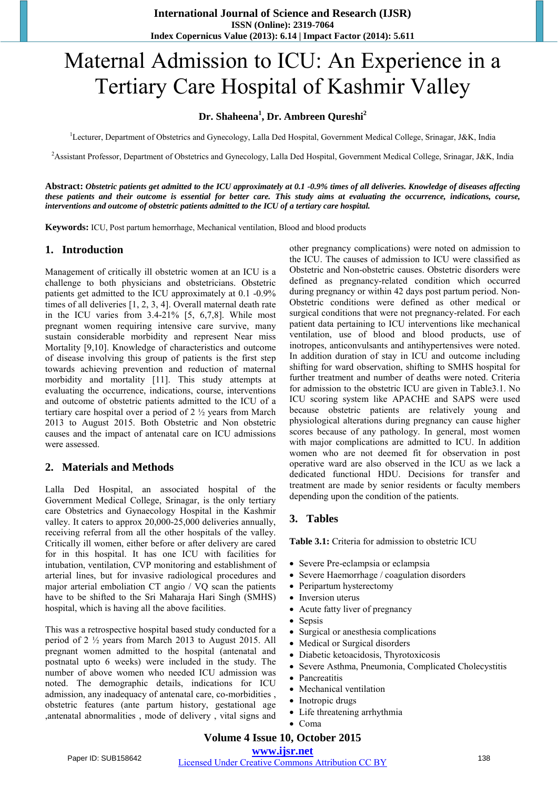# Maternal Admission to ICU: An Experience in a Tertiary Care Hospital of Kashmir Valley

## **Dr. Shaheena<sup>1</sup> , Dr. Ambreen Qureshi<sup>2</sup>**

<sup>1</sup>Lecturer, Department of Obstetrics and Gynecology, Lalla Ded Hospital, Government Medical College, Srinagar, J&K, India

<sup>2</sup>Assistant Professor, Department of Obstetrics and Gynecology, Lalla Ded Hospital, Government Medical College, Srinagar, J&K, India

**Abstract:** *Obstetric patients get admitted to the ICU approximately at 0.1 -0.9% times of all deliveries. Knowledge of diseases affecting these patients and their outcome is essential for better care. This study aims at evaluating the occurrence, indications, course, interventions and outcome of obstetric patients admitted to the ICU of a tertiary care hospital.* 

**Keywords:** ICU, Post partum hemorrhage, Mechanical ventilation, Blood and blood products

### **1. Introduction**

Management of critically ill obstetric women at an ICU is a challenge to both physicians and obstetricians. Obstetric patients get admitted to the ICU approximately at 0.1 -0.9% times of all deliveries [1, 2, 3, 4]. Overall maternal death rate in the ICU varies from 3.4-21% [5, 6,7,8]. While most pregnant women requiring intensive care survive, many sustain considerable morbidity and represent Near miss Mortality [9,10]. Knowledge of characteristics and outcome of disease involving this group of patients is the first step towards achieving prevention and reduction of maternal morbidity and mortality [11]. This study attempts at evaluating the occurrence, indications, course, interventions and outcome of obstetric patients admitted to the ICU of a tertiary care hospital over a period of 2 ½ years from March 2013 to August 2015. Both Obstetric and Non obstetric causes and the impact of antenatal care on ICU admissions were assessed.

# **2. Materials and Methods**

Lalla Ded Hospital, an associated hospital of the Government Medical College, Srinagar, is the only tertiary care Obstetrics and Gynaecology Hospital in the Kashmir valley. It caters to approx 20,000-25,000 deliveries annually, receiving referral from all the other hospitals of the valley. Critically ill women, either before or after delivery are cared for in this hospital. It has one ICU with facilities for intubation, ventilation, CVP monitoring and establishment of arterial lines, but for invasive radiological procedures and major arterial emboliation CT angio / VQ scan the patients have to be shifted to the Sri Maharaja Hari Singh (SMHS) hospital, which is having all the above facilities.

This was a retrospective hospital based study conducted for a period of 2 ½ years from March 2013 to August 2015. All pregnant women admitted to the hospital (antenatal and postnatal upto 6 weeks) were included in the study. The number of above women who needed ICU admission was noted. The demographic details, indications for ICU admission, any inadequacy of antenatal care, co-morbidities , obstetric features (ante partum history, gestational age ,antenatal abnormalities , mode of delivery , vital signs and other pregnancy complications) were noted on admission to the ICU. The causes of admission to ICU were classified as Obstetric and Non-obstetric causes. Obstetric disorders were defined as pregnancy-related condition which occurred during pregnancy or within 42 days post partum period. Non-Obstetric conditions were defined as other medical or surgical conditions that were not pregnancy-related. For each patient data pertaining to ICU interventions like mechanical ventilation, use of blood and blood products, use of inotropes, anticonvulsants and antihypertensives were noted. In addition duration of stay in ICU and outcome including shifting for ward observation, shifting to SMHS hospital for further treatment and number of deaths were noted. Criteria for admission to the obstetric ICU are given in Table3.1. No ICU scoring system like APACHE and SAPS were used because obstetric patients are relatively young and physiological alterations during pregnancy can cause higher scores because of any pathology. In general, most women with major complications are admitted to ICU. In addition women who are not deemed fit for observation in post operative ward are also observed in the ICU as we lack a dedicated functional HDU. Decisions for transfer and treatment are made by senior residents or faculty members depending upon the condition of the patients.

# **3. Tables**

**Table 3.1:** Criteria for admission to obstetric ICU

- Severe Pre-eclampsia or eclampsia
- Severe Haemorrhage / coagulation disorders
- Peripartum hysterectomy
- Inversion uterus
- Acute fatty liver of pregnancy
- Sepsis
- Surgical or anesthesia complications
- Medical or Surgical disorders
- Diabetic ketoacidosis, Thyrotoxicosis
- Severe Asthma, Pneumonia, Complicated Cholecystitis
- Pancreatitis
- Mechanical ventilation
- Inotropic drugs
- Life threatening arrhythmia
- Coma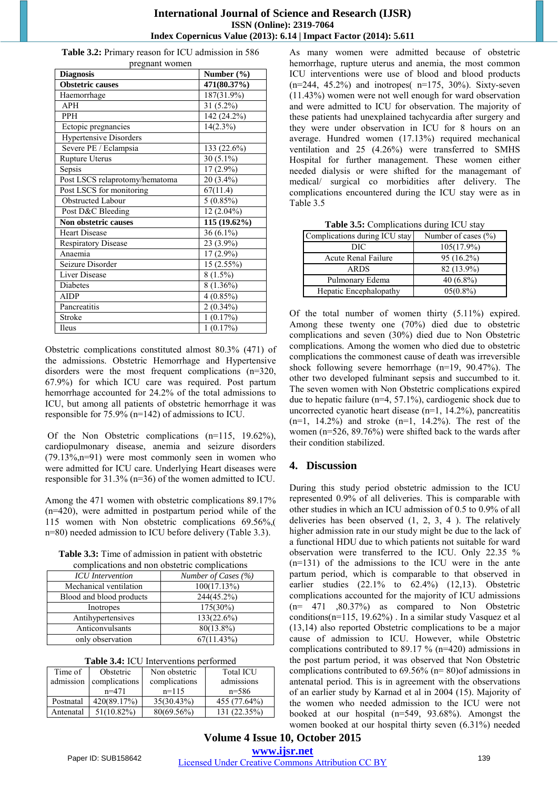#### **International Journal of Science and Research (IJSR) ISSN (Online): 2319-7064 Index Copernicus Value (2013): 6.14 | Impact Factor (2014): 5.611**

**Table 3.2:** Primary reason for ICU admission in 586 pregnant women

| <b>Diagnosis</b>               | Number $(\% )$           |
|--------------------------------|--------------------------|
| <b>Obstetric causes</b>        | 471(80.37%)              |
| Haemorrhage                    | 187(31.9%)               |
| <b>APH</b>                     | 31 (5.2%)                |
| <b>PPH</b>                     | 142 (24.2%)              |
| Ectopic pregnancies            | $14(2.3\%)$              |
| <b>Hypertensive Disorders</b>  |                          |
| Severe PE / Eclampsia          | $\overline{1}33(22.6\%)$ |
| Rupture Uterus                 | 30 $(5.1\%)$             |
| Sepsis                         | 17 (2.9%)                |
| Post LSCS relaprotomy/hematoma | $20(3.4\%)$              |
| Post LSCS for monitoring       | 67(11.4)                 |
| Obstructed Labour              | $5(0.85\%)$              |
| Post D&C Bleeding              | 12 (2.04%)               |
| Non obstetric causes           | 115 (19.62%)             |
| <b>Heart Disease</b>           | 36 (6.1%)                |
| <b>Respiratory Disease</b>     | 23 (3.9%)                |
| Anaemia                        | 17 (2.9%)                |
| Seizure Disorder               | 15 (2.55%)               |
| Liver Disease                  | $8(1.5\%)$               |
| <b>Diabetes</b>                | 8 (1.36%)                |
| <b>AIDP</b>                    | $4(0.85\%)$              |
| Pancreatitis                   | $2(0.34\%)$              |
| Stroke                         | 1(0.17%)                 |
| Ileus                          | 1(0.17%)                 |

Obstetric complications constituted almost 80.3% (471) of the admissions. Obstetric Hemorrhage and Hypertensive disorders were the most frequent complications (n=320, 67.9%) for which ICU care was required. Post partum hemorrhage accounted for 24.2% of the total admissions to ICU, but among all patients of obstetric hemorrhage it was responsible for 75.9% (n=142) of admissions to ICU.

Of the Non Obstetric complications (n=115, 19.62%), cardiopulmonary disease, anemia and seizure disorders  $(79.13\%,n=91)$  were most commonly seen in women who were admitted for ICU care. Underlying Heart diseases were responsible for 31.3% (n=36) of the women admitted to ICU.

Among the 471 women with obstetric complications 89.17% (n=420), were admitted in postpartum period while of the 115 women with Non obstetric complications 69.56%,( n=80) needed admission to ICU before delivery (Table 3.3).

**Table 3.3:** Time of admission in patient with obstetric

| complications and non obstetric complications |                     |  |
|-----------------------------------------------|---------------------|--|
| <b>ICU</b> Intervention                       | Number of Cases (%) |  |
| Mechanical ventilation                        | 100(17.13%)         |  |
| Blood and blood products                      | 244(45.2%)          |  |
| Inotropes                                     | 175(30%)            |  |
| Antihypertensives                             | 133(22.6%)          |  |
| Anticonvulsants                               | 80(13.8%)           |  |
| only observation                              | 67(11.43%)          |  |

| Time of   | Obstetric     | Non obstetric | <b>Total ICU</b> |  |
|-----------|---------------|---------------|------------------|--|
| admission | complications | complications | admissions       |  |
|           | $n=471$       | $n=115$       | $n = 586$        |  |
| Postnatal | 420(89.17%)   | 35(30.43%)    | 455 (77.64%)     |  |
| Antenatal | $51(10.82\%)$ | 80(69.56%)    | 131 (22.35%)     |  |

| Table 3.4: ICU Interventions performed |  |
|----------------------------------------|--|
|----------------------------------------|--|

As many women were admitted because of obstetric hemorrhage, rupture uterus and anemia, the most common ICU interventions were use of blood and blood products  $(n=244, 45.2%)$  and inotropes( $n=175, 30%$ ). Sixty-seven (11.43%) women were not well enough for ward observation and were admitted to ICU for observation. The majority of these patients had unexplained tachycardia after surgery and they were under observation in ICU for 8 hours on an average. Hundred women (17.13%) required mechanical ventilation and 25 (4.26%) were transferred to SMHS Hospital for further management. These women either needed dialysis or were shifted for the managemant of medical/ surgical co morbidities after delivery. The complications encountered during the ICU stay were as in Table 3.5

| Complications during ICU stay | Number of cases $(\% )$ |
|-------------------------------|-------------------------|
| DIC                           | $105(17.9\%)$           |
| Acute Renal Failure           | $95(16.2\%)$            |
| <b>ARDS</b>                   | 82 (13.9%)              |
| Pulmonary Edema               | $40(6.8\%)$             |
| Hepatic Encephalopathy        | $05(0.8\%)$             |

**Table 3.5:** Complications during ICU stay

Of the total number of women thirty (5.11%) expired. Among these twenty one (70%) died due to obstetric complications and seven (30%) died due to Non Obstetric complications. Among the women who died due to obstetric complications the commonest cause of death was irreversible shock following severe hemorrhage (n=19, 90.47%). The other two developed fulminant sepsis and succumbed to it. The seven women with Non Obstetric complications expired due to hepatic failure (n=4, 57.1%), cardiogenic shock due to uncorrected cyanotic heart disease  $(n=1, 14.2\%)$ , pancreatitis  $(n=1, 14.2\%)$  and stroke  $(n=1, 14.2\%)$ . The rest of the women (n=526, 89.76%) were shifted back to the wards after their condition stabilized.

# **4. Discussion**

During this study period obstetric admission to the ICU represented 0.9% of all deliveries. This is comparable with other studies in which an ICU admission of 0.5 to 0.9% of all deliveries has been observed (1, 2, 3, 4 ). The relatively higher admission rate in our study might be due to the lack of a functional HDU due to which patients not suitable for ward observation were transferred to the ICU. Only 22.35 % (n=131) of the admissions to the ICU were in the ante partum period, which is comparable to that observed in earlier studies (22.1% to 62.4%) (12,13). Obstetric complications accounted for the majority of ICU admissions (n= 471 ,80.37%) as compared to Non Obstetric conditions(n=115, 19.62%) . In a similar study Vasquez et al (13,14) also reported Obstetric complications to be a major cause of admission to ICU. However, while Obstetric complications contributed to 89.17 % (n=420) admissions in the post partum period, it was observed that Non Obstetric complications contributed to 69.56% (n= 80)of admissions in antenatal period. This is in agreement with the observations of an earlier study by Karnad et al in 2004 (15). Majority of the women who needed admission to the ICU were not booked at our hospital (n=549, 93.68%). Amongst the women booked at our hospital thirty seven (6.31%) needed

**Volume 4 Issue 10, October 2015 www.ijsr.net**